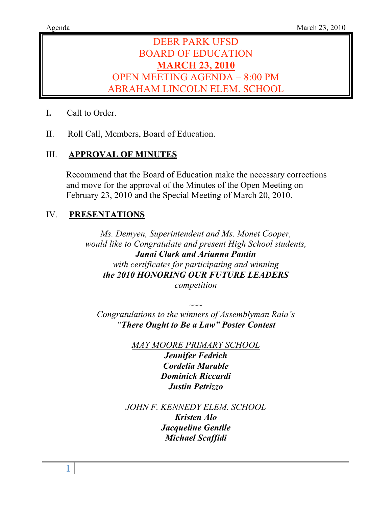# DEER PARK UFSD BOARD OF EDUCATION **MARCH 23, 2010** OPEN MEETING AGENDA – 8:00 PM ABRAHAM LINCOLN ELEM. SCHOOL

- I**.** Call to Order.
- II. Roll Call, Members, Board of Education.

# III. **APPROVAL OF MINUTES**

Recommend that the Board of Education make the necessary corrections and move for the approval of the Minutes of the Open Meeting on February 23, 2010 and the Special Meeting of March 20, 2010.

# IV. **PRESENTATIONS**

*Ms. Demyen, Superintendent and Ms. Monet Cooper, would like to Congratulate and present High School students, Janai Clark and Arianna Pantin with certificates for participating and winning the 2010 HONORING OUR FUTURE LEADERS competition*

*Congratulations to the winners of Assemblyman Raia's "There Ought to Be a Law" Poster Contest*

 $\sim$ 

*MAY MOORE PRIMARY SCHOOL Jennifer Fedrich Cordelia Marable Dominick Riccardi Justin Petrizzo*

*JOHN F. KENNEDY ELEM. SCHOOL*

*Kristen Alo Jacqueline Gentile Michael Scaffidi*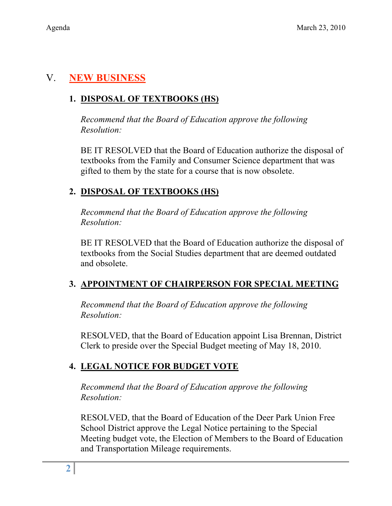# V. **NEW BUSINESS**

# **1. DISPOSAL OF TEXTBOOKS (HS)**

*Recommend that the Board of Education approve the following Resolution:*

BE IT RESOLVED that the Board of Education authorize the disposal of textbooks from the Family and Consumer Science department that was gifted to them by the state for a course that is now obsolete.

# **2. DISPOSAL OF TEXTBOOKS (HS)**

*Recommend that the Board of Education approve the following Resolution:*

BE IT RESOLVED that the Board of Education authorize the disposal of textbooks from the Social Studies department that are deemed outdated and obsolete.

# **3. APPOINTMENT OF CHAIRPERSON FOR SPECIAL MEETING**

*Recommend that the Board of Education approve the following Resolution:*

RESOLVED, that the Board of Education appoint Lisa Brennan, District Clerk to preside over the Special Budget meeting of May 18, 2010.

# **4. LEGAL NOTICE FOR BUDGET VOTE**

*Recommend that the Board of Education approve the following Resolution:*

RESOLVED, that the Board of Education of the Deer Park Union Free School District approve the Legal Notice pertaining to the Special Meeting budget vote, the Election of Members to the Board of Education and Transportation Mileage requirements.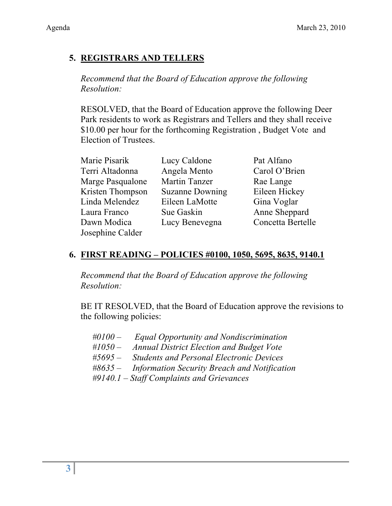# **5. REGISTRARS AND TELLERS**

*Recommend that the Board of Education approve the following Resolution:*

RESOLVED, that the Board of Education approve the following Deer Park residents to work as Registrars and Tellers and they shall receive \$10.00 per hour for the forthcoming Registration , Budget Vote and Election of Trustees.

| Marie Pisarik    | Lucy Caldone           | Pat Alfano        |
|------------------|------------------------|-------------------|
| Terri Altadonna  | Angela Mento           | Carol O'Brien     |
| Marge Pasqualone | <b>Martin Tanzer</b>   | Rae Lange         |
| Kristen Thompson | <b>Suzanne Downing</b> | Eileen Hickey     |
| Linda Melendez   | Eileen LaMotte         | Gina Voglar       |
| Laura Franco     | Sue Gaskin             | Anne Sheppard     |
| Dawn Modica      | Lucy Benevegna         | Concetta Bertelle |
| Josephine Calder |                        |                   |

## **6. FIRST READING – POLICIES #0100, 1050, 5695, 8635, 9140.1**

*Recommend that the Board of Education approve the following Resolution:*

BE IT RESOLVED, that the Board of Education approve the revisions to the following policies:

| #0100 $-$ | <b>Equal Opportunity and Nondiscrimination</b>  |
|-----------|-------------------------------------------------|
| #1050 $-$ | <b>Annual District Election and Budget Vote</b> |
| $#5695-$  | <b>Students and Personal Electronic Devices</b> |
| #8635 $-$ | Information Security Breach and Notification    |
|           | $\#9140.1$ – Staff Complaints and Grievances    |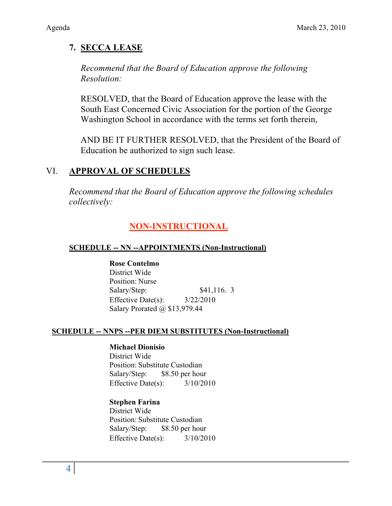# **7. SECCA LEASE**

*Recommend that the Board of Education approve the following Resolution:*

RESOLVED, that the Board of Education approve the lease with the South East Concerned Civic Association for the portion of the George Washington School in accordance with the terms set forth therein,

AND BE IT FURTHER RESOLVED, that the President of the Board of Education be authorized to sign such lease.

## VI. **APPROVAL OF SCHEDULES**

*Recommend that the Board of Education approve the following schedules collectively:*

# **NON-INSTRUCTIONAL**

## **SCHEDULE -- NN --APPOINTMENTS (Non-Instructional)**

**Rose Contelmo** District Wide Position: Nurse Salary/Step: \$41,116. 3 Effective Date(s):  $3/22/2010$ Salary Prorated @ \$13,979.44

## **SCHEDULE -- NNPS --PER DIEM SUBSTITUTES (Non-Instructional)**

## **Michael Dionisio**

District Wide Position: Substitute Custodian Salary/Step: \$8.50 per hour Effective Date(s): 3/10/2010

## **Stephen Farina**

District Wide Position: Substitute Custodian Salary/Step: \$8.50 per hour Effective Date(s): 3/10/2010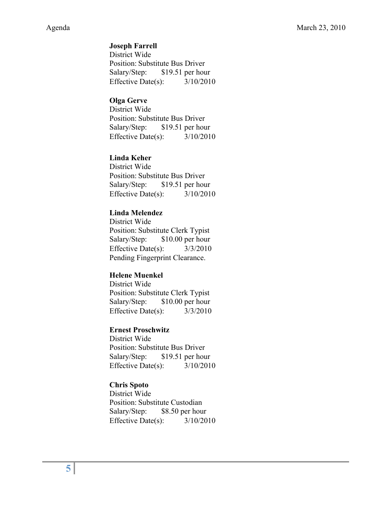### **Joseph Farrell**

District Wide Position: Substitute Bus Driver Salary/Step: \$19.51 per hour Effective Date(s): 3/10/2010

#### **Olga Gerve**

District Wide Position: Substitute Bus Driver Salary/Step: \$19.51 per hour Effective Date(s): 3/10/2010

### **Linda Keher**

District Wide Position: Substitute Bus Driver Salary/Step: \$19.51 per hour Effective Date(s): 3/10/2010

#### **Linda Melendez**

District Wide Position: Substitute Clerk Typist Salary/Step: \$10.00 per hour Effective Date(s): 3/3/2010 Pending Fingerprint Clearance.

#### **Helene Muenkel**

District Wide Position: Substitute Clerk Typist Salary/Step: \$10.00 per hour Effective Date(s): 3/3/2010

#### **Ernest Proschwitz**

District Wide Position: Substitute Bus Driver Salary/Step: \$19.51 per hour Effective Date(s):  $3/10/2010$ 

#### **Chris Spoto**

District Wide Position: Substitute Custodian Salary/Step: \$8.50 per hour Effective Date(s): 3/10/2010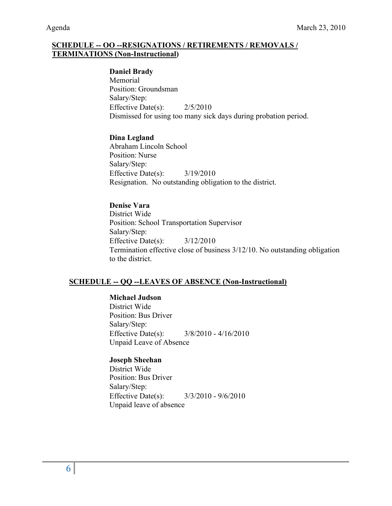#### **SCHEDULE -- OO --RESIGNATIONS / RETIREMENTS / REMOVALS / TERMINATIONS (Non-Instructional)**

#### **Daniel Brady**

Memorial Position: Groundsman Salary/Step: Effective Date(s): 2/5/2010 Dismissed for using too many sick days during probation period.

#### **Dina Legland**

Abraham Lincoln School Position: Nurse Salary/Step: Effective Date(s): 3/19/2010 Resignation. No outstanding obligation to the district.

#### **Denise Vara**

District Wide Position: School Transportation Supervisor Salary/Step: Effective Date(s):  $3/12/2010$ Termination effective close of business 3/12/10. No outstanding obligation to the district.

#### **SCHEDULE -- QQ --LEAVES OF ABSENCE (Non-Instructional)**

**Michael Judson** District Wide Position: Bus Driver Salary/Step: Effective Date(s): 3/8/2010 - 4/16/2010 Unpaid Leave of Absence

#### **Joseph Sheehan**

District Wide Position: Bus Driver Salary/Step: Effective Date(s): 3/3/2010 - 9/6/2010 Unpaid leave of absence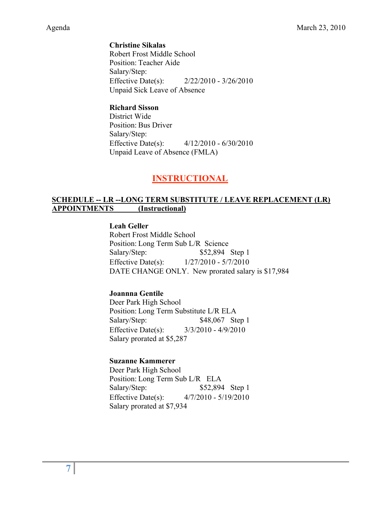**Christine Sikalas** Robert Frost Middle School Position: Teacher Aide Salary/Step: Effective Date(s): 2/22/2010 - 3/26/2010 Unpaid Sick Leave of Absence

#### **Richard Sisson**

District Wide Position: Bus Driver Salary/Step: Effective Date(s): 4/12/2010 - 6/30/2010 Unpaid Leave of Absence (FMLA)

## **INSTRUCTIONAL**

#### **SCHEDULE -- LR --LONG TERM SUBSTITUTE / LEAVE REPLACEMENT (LR) APPOINTMENTS (Instructional)**

**Leah Geller**

Robert Frost Middle School Position: Long Term Sub L/R Science Salary/Step: \$52,894 Step 1 Effective Date(s): 1/27/2010 - 5/7/2010 DATE CHANGE ONLY. New prorated salary is \$17,984

#### **Joannna Gentile**

Deer Park High School Position: Long Term Substitute L/R ELA Salary/Step: \$48,067 Step 1 Effective Date(s): 3/3/2010 - 4/9/2010 Salary prorated at \$5,287

#### **Suzanne Kammerer**

Deer Park High School Position: Long Term Sub L/R ELA Salary/Step: \$52,894 Step 1 Effective Date(s): 4/7/2010 - 5/19/2010 Salary prorated at \$7,934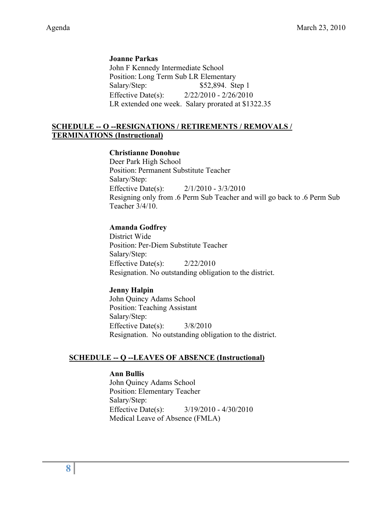**Joanne Parkas** John F Kennedy Intermediate School Position: Long Term Sub LR Elementary Salary/Step: \$52,894. Step 1 Effective Date(s): 2/22/2010 - 2/26/2010 LR extended one week. Salary prorated at \$1322.35

#### **SCHEDULE -- O --RESIGNATIONS / RETIREMENTS / REMOVALS / TERMINATIONS (Instructional)**

#### **Christianne Donohue**

Deer Park High School Position: Permanent Substitute Teacher Salary/Step: Effective Date(s): 2/1/2010 - 3/3/2010 Resigning only from .6 Perm Sub Teacher and will go back to .6 Perm Sub Teacher 3/4/10.

#### **Amanda Godfrey**

District Wide Position: Per-Diem Substitute Teacher Salary/Step: Effective Date(s): 2/22/2010 Resignation. No outstanding obligation to the district.

#### **Jenny Halpin**

John Quincy Adams School Position: Teaching Assistant Salary/Step: Effective Date(s): 3/8/2010 Resignation. No outstanding obligation to the district.

#### **SCHEDULE -- Q --LEAVES OF ABSENCE (Instructional)**

#### **Ann Bullis**

John Quincy Adams School Position: Elementary Teacher Salary/Step: Effective Date(s): 3/19/2010 - 4/30/2010 Medical Leave of Absence (FMLA)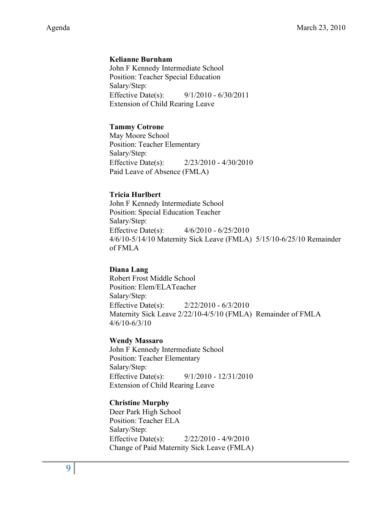#### **Kelianne Burnham**

John F Kennedy Intermediate School Position: Teacher Special Education Salary/Step: Effective Date(s): 9/1/2010 - 6/30/2011 Extension of Child Rearing Leave

#### **Tammy Cotrone**

May Moore School Position: Teacher Elementary Salary/Step: Effective Date(s): 2/23/2010 - 4/30/2010 Paid Leave of Absence (FMLA)

#### **Tricia Hurlbert**

John F Kennedy Intermediate School Position: Special Education Teacher Salary/Step: Effective Date(s): 4/6/2010 - 6/25/2010 4/6/10-5/14/10 Maternity Sick Leave (FMLA) 5/15/10-6/25/10 Remainder of FMLA

#### **Diana Lang**

Robert Frost Middle School Position: Elem/ELATeacher Salary/Step: Effective Date(s): 2/22/2010 - 6/3/2010 Maternity Sick Leave 2/22/10-4/5/10 (FMLA) Remainder of FMLA 4/6/10-6/3/10

#### **Wendy Massaro**

John F Kennedy Intermediate School Position: Teacher Elementary Salary/Step: Effective Date(s): 9/1/2010 - 12/31/2010 Extension of Child Rearing Leave

#### **Christine Murphy**

Deer Park High School Position: Teacher ELA Salary/Step: Effective Date(s): 2/22/2010 - 4/9/2010 Change of Paid Maternity Sick Leave (FMLA)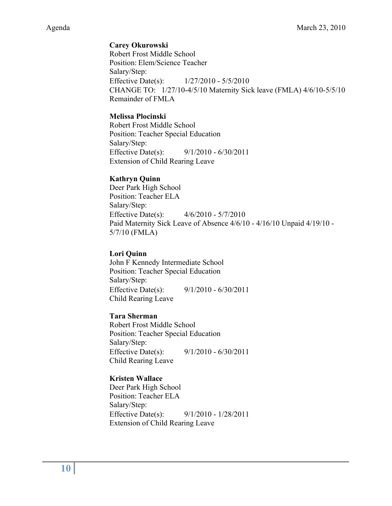## **Carey Okurowski**

Robert Frost Middle School Position: Elem/Science Teacher Salary/Step: Effective Date(s): 1/27/2010 - 5/5/2010 CHANGE TO: 1/27/10-4/5/10 Maternity Sick leave (FMLA) 4/6/10-5/5/10 Remainder of FMLA

#### **Melissa Plocinski**

Robert Frost Middle School Position: Teacher Special Education Salary/Step: Effective Date(s): 9/1/2010 - 6/30/2011 Extension of Child Rearing Leave

### **Kathryn Quinn**

Deer Park High School Position: Teacher ELA Salary/Step: Effective Date(s): 4/6/2010 - 5/7/2010 Paid Maternity Sick Leave of Absence 4/6/10 - 4/16/10 Unpaid 4/19/10 - 5/7/10 (FMLA)

#### **Lori Quinn**

John F Kennedy Intermediate School Position: Teacher Special Education Salary/Step: Effective Date(s): 9/1/2010 - 6/30/2011 Child Rearing Leave

#### **Tara Sherman**

Robert Frost Middle School Position: Teacher Special Education Salary/Step: Effective Date(s): 9/1/2010 - 6/30/2011 Child Rearing Leave

## **Kristen Wallace**

Deer Park High School Position: Teacher ELA Salary/Step: Effective Date(s): 9/1/2010 - 1/28/2011 Extension of Child Rearing Leave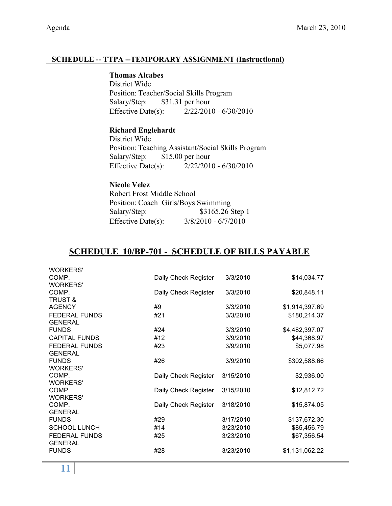## **SCHEDULE -- TTPA --TEMPORARY ASSIGNMENT (Instructional)**

### **Thomas Alcabes**

District Wide Position: Teacher/Social Skills Program Salary/Step: \$31.31 per hour Effective Date(s): 2/22/2010 - 6/30/2010

## **Richard Englehardt**

District Wide Position: Teaching Assistant/Social Skills Program Salary/Step: \$15.00 per hour Effective Date(s): 2/22/2010 - 6/30/2010

# **Nicole Velez**

Robert Frost Middle School Position: Coach Girls/Boys Swimming Salary/Step: \$3165.26 Step 1 Effective Date(s): 3/8/2010 - 6/7/2010

## **SCHEDULE 10/BP-701 - SCHEDULE OF BILLS PAYABLE**

| <b>WORKERS'</b>      |                      |           |                |
|----------------------|----------------------|-----------|----------------|
| COMP.                | Daily Check Register | 3/3/2010  | \$14,034.77    |
| <b>WORKERS'</b>      |                      |           |                |
| COMP.                | Daily Check Register | 3/3/2010  | \$20,848.11    |
| <b>TRUST &amp;</b>   |                      |           |                |
| <b>AGENCY</b>        | #9                   | 3/3/2010  | \$1,914,397.69 |
| <b>FEDERAL FUNDS</b> | #21                  | 3/3/2010  | \$180,214.37   |
| <b>GENERAL</b>       |                      |           |                |
| <b>FUNDS</b>         | #24                  | 3/3/2010  | \$4,482,397.07 |
| <b>CAPITAL FUNDS</b> | #12                  | 3/9/2010  | \$44,368.97    |
| <b>FEDERAL FUNDS</b> | #23                  | 3/9/2010  | \$5,077.98     |
| <b>GENERAL</b>       |                      |           |                |
| <b>FUNDS</b>         | #26                  | 3/9/2010  | \$302,588.66   |
| <b>WORKERS'</b>      |                      |           |                |
| COMP.                | Daily Check Register | 3/15/2010 | \$2,936.00     |
| <b>WORKERS'</b>      |                      |           |                |
| COMP.                | Daily Check Register | 3/15/2010 | \$12,812.72    |
| <b>WORKERS'</b>      |                      |           |                |
| COMP.                | Daily Check Register | 3/18/2010 | \$15,874.05    |
| <b>GENERAL</b>       |                      |           |                |
| <b>FUNDS</b>         | #29                  | 3/17/2010 | \$137,672.30   |
| <b>SCHOOL LUNCH</b>  | #14                  | 3/23/2010 | \$85,456.79    |
| <b>FEDERAL FUNDS</b> | #25                  | 3/23/2010 | \$67,356.54    |
| <b>GENERAL</b>       |                      |           |                |
| <b>FUNDS</b>         | #28                  | 3/23/2010 | \$1,131,062.22 |
|                      |                      |           |                |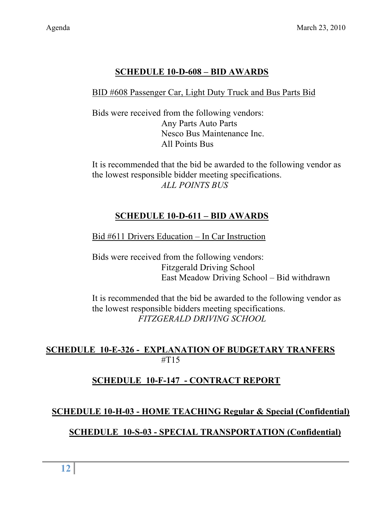# **SCHEDULE 10-D-608 – BID AWARDS**

## BID #608 Passenger Car, Light Duty Truck and Bus Parts Bid

Bids were received from the following vendors: Any Parts Auto Parts Nesco Bus Maintenance Inc. All Points Bus

It is recommended that the bid be awarded to the following vendor as the lowest responsible bidder meeting specifications. *ALL POINTS BUS*

# **SCHEDULE 10-D-611 – BID AWARDS**

## Bid #611 Drivers Education – In Car Instruction

Bids were received from the following vendors: Fitzgerald Driving School East Meadow Driving School – Bid withdrawn

It is recommended that the bid be awarded to the following vendor as the lowest responsible bidders meeting specifications. *FITZGERALD DRIVING SCHOOL*

## **SCHEDULE 10-E-326 - EXPLANATION OF BUDGETARY TRANFERS**  $\#T15$

## **SCHEDULE 10-F-147 - CONTRACT REPORT**

## **SCHEDULE 10-H-03 - HOME TEACHING Regular & Special (Confidential)**

## **SCHEDULE 10-S-03 - SPECIAL TRANSPORTATION (Confidential)**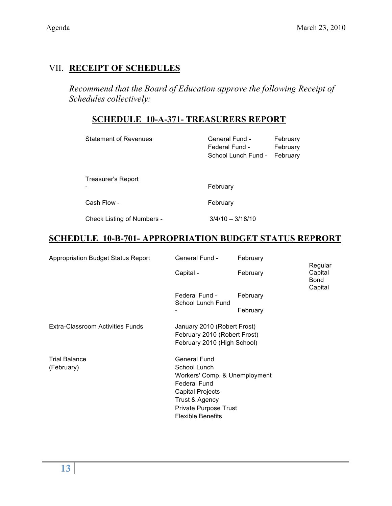# VII. **RECEIPT OF SCHEDULES**

*Recommend that the Board of Education approve the following Receipt of Schedules collectively:*

## **SCHEDULE 10-A-371- TREASURERS REPORT**

| <b>Statement of Revenues</b>      | General Fund -<br>Federal Fund -<br>School Lunch Fund - | February<br>February<br>February |
|-----------------------------------|---------------------------------------------------------|----------------------------------|
| Treasurer's Report                | February                                                |                                  |
| Cash Flow -                       | February                                                |                                  |
| <b>Check Listing of Numbers -</b> | $3/4/10 - 3/18/10$                                      |                                  |

# **SCHEDULE 10-B-701- APPROPRIATION BUDGET STATUS REPRORT**

| <b>Appropriation Budget Status Report</b> | General Fund -                                                                                                                                                                         | February | Regular                           |
|-------------------------------------------|----------------------------------------------------------------------------------------------------------------------------------------------------------------------------------------|----------|-----------------------------------|
|                                           | Capital -                                                                                                                                                                              | February | Capital<br><b>Bond</b><br>Capital |
|                                           | Federal Fund -<br>School Lunch Fund                                                                                                                                                    | February |                                   |
|                                           |                                                                                                                                                                                        | February |                                   |
| Extra-Classroom Activities Funds          | January 2010 (Robert Frost)<br>February 2010 (Robert Frost)<br>February 2010 (High School)                                                                                             |          |                                   |
| <b>Trial Balance</b><br>(February)        | General Fund<br>School Lunch<br>Workers' Comp. & Unemployment<br><b>Federal Fund</b><br><b>Capital Projects</b><br>Trust & Agency<br>Private Purpose Trust<br><b>Flexible Benefits</b> |          |                                   |